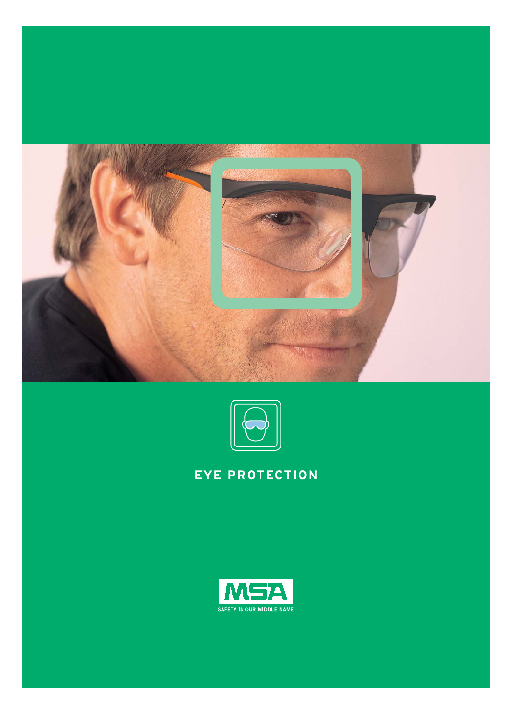



# **EYE PROTECTION**

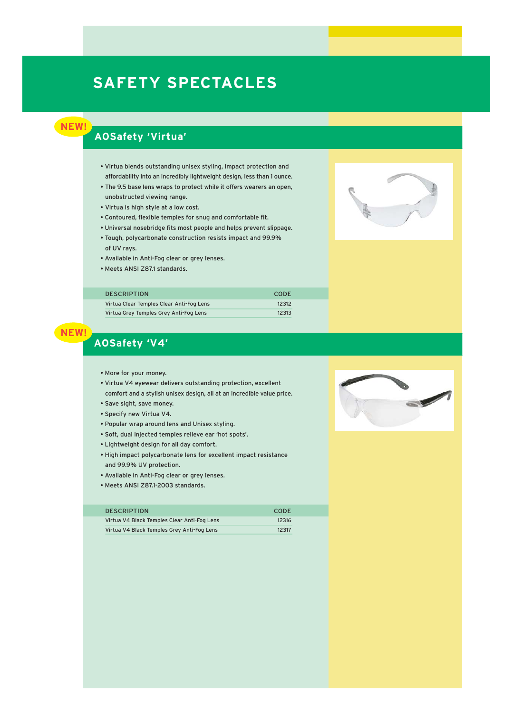# **SAFETY SPECTACLES**

**NEW!**

### **AOSafety 'Virtua'**

- Virtua blends outstanding unisex styling, impact protection and affordability into an incredibly lightweight design, less than 1 ounce.
- The 9.5 base lens wraps to protect while it offers wearers an open, unobstructed viewing range.
- Virtua is high style at a low cost.
- Contoured, flexible temples for snug and comfortable fit.
- Universal nosebridge fits most people and helps prevent slippage.
- Tough, polycarbonate construction resists impact and 99.9% of UV rays.
- Available in Anti-Fog clear or grey lenses.
- Meets ANSI Z87.1 standards.



| <b>DESCRIPTION</b>                       | CODE  |
|------------------------------------------|-------|
| Virtua Clear Temples Clear Anti-Fog Lens | 12312 |
| Virtua Grey Temples Grey Anti-Fog Lens   | 12313 |

### **AOSafety 'V4'**

**NEW!**

- More for your money.
- Virtua V4 eyewear delivers outstanding protection, excellent comfort and a stylish unisex design, all at an incredible value price.
- Save sight, save money.
- Specify new Virtua V4.
- Popular wrap around lens and Unisex styling.
- Soft, dual injected temples relieve ear 'hot spots'.
- Lightweight design for all day comfort.
- High impact polycarbonate lens for excellent impact resistance and 99.9% UV protection.
- Available in Anti-Fog clear or grey lenses.
- Meets ANSI Z87.1-2003 standards.

#### DESCRIPTION CODE

| Virtua V4 Black Temples Clear Anti-Fog Lens | 12316 |
|---------------------------------------------|-------|
| Virtua V4 Black Temples Grey Anti-Fog Lens  | 12317 |

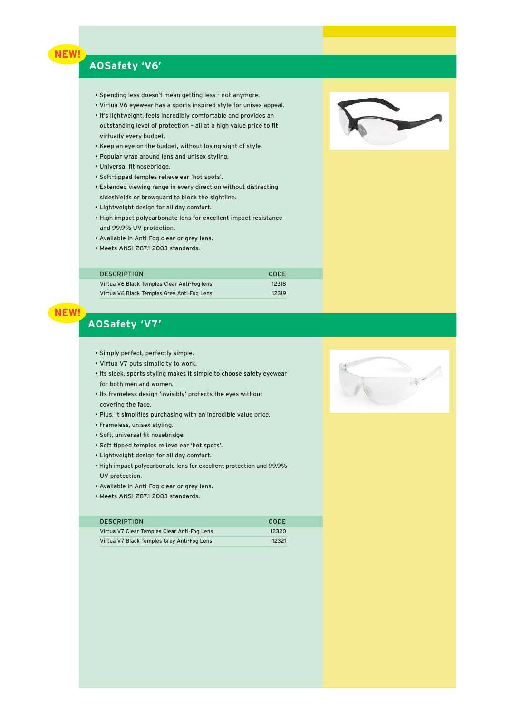### **NEW!**

### **AOSafety 'V6'**

- Spending less doesn't mean getting less not anymore.
- Virtua V6 eyewear has a sports inspired style for unisex appeal.
- It's lightweight, feels incredibly comfortable and provides an outstanding level of protection – all at a high value price to fit virtually every budget.
- Keep an eye on the budget, without losing sight of style.
- Popular wrap around lens and unisex styling.
- Universal fit nosebridge.
- Soft-tipped temples relieve ear 'hot spots'.
- Extended viewing range in every direction without distracting sideshields or browguard to block the sightline.
- Lightweight design for all day comfort.
- High impact polycarbonate lens for excellent impact resistance and 99.9% UV protection.
- Available in Anti-Fog clear or grey lens.
- Meets ANSI Z87.1-2003 standards.

### DESCRIPTION CODE Virtua V6 Black Temples Clear Anti-Fog lens 12318 Virtua V6 Black Temples Grey Anti-Fog Lens 12319



## **AOSafety 'V7'**

- Simply perfect, perfectly simple.
- Virtua V7 puts simplicity to work.
- Its sleek, sports styling makes it simple to choose safety eyewear for both men and women.
- Its frameless design 'invisibly' protects the eyes without covering the face.
- Plus, it simplifies purchasing with an incredible value price.
- Frameless, unisex styling.
- Soft, universal fit nosebridge.
- Soft tipped temples relieve ear 'hot spots'.
- Lightweight design for all day comfort.
- High impact polycarbonate lens for excellent protection and 99.9% UV protection.
- Available in Anti-Fog clear or grey lens.
- Meets ANSI Z87.1-2003 standards.

| <b>DESCRIPTION</b>                          | CODE  |
|---------------------------------------------|-------|
| Virtua V7 Clear Temples Clear Anti-Fog Lens | 12320 |
| Virtua V7 Black Temples Grey Anti-Fog Lens  | 12321 |



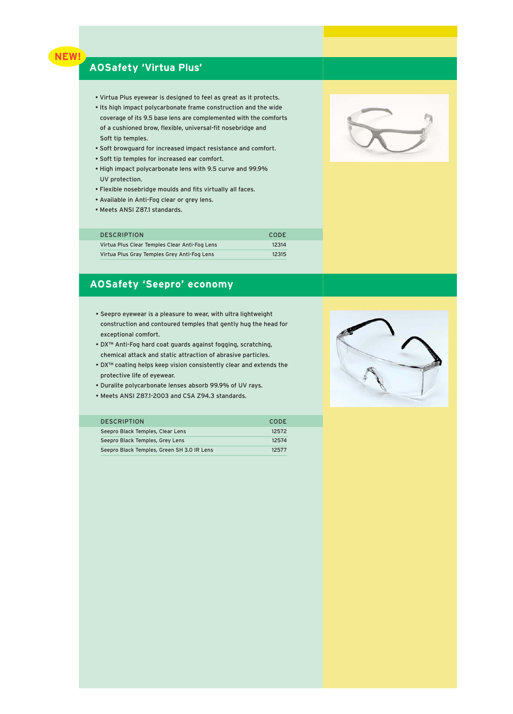

### **AOSafety 'Virtua Plus'**

- Virtua Plus eyewear is designed to feel as great as it protects.
- Its high impact polycarbonate frame construction and the wide coverage of its 9.5 base lens are complemented with the comforts of a cushioned brow, flexible, universal-fit nosebridge and Soft tip temples.
- Soft browguard for increased impact resistance and comfort.
- Soft tip temples for increased ear comfort.
- High impact polycarbonate lens with 9.5 curve and 99.9% UV protection.
- Flexible nosebridge moulds and fits virtually all faces.
- Available in Anti-Fog clear or grey lens.
- Meets ANSI Z87.1 standards.

| <b>DESCRIPTION</b>                            | <b>CODE</b> |  |
|-----------------------------------------------|-------------|--|
| Virtua Plus Clear Temples Clear Anti-Fog Lens | 12314       |  |
| Virtua Plus Gray Temples Grey Anti-Fog Lens   | 12315       |  |

### **AOSafety 'Seepro' economy**

- Seepro eyewear is a pleasure to wear, with ultra lightweight construction and contoured temples that gently hug the head for exceptional comfort.
- DX™ Anti-Fog hard coat guards against fogging, scratching, chemical attack and static attraction of abrasive particles.
- DX™ coating helps keep vision consistently clear and extends the protective life of eyewear.
- Duralite polycarbonate lenses absorb 99.9% of UV rays.
- Meets ANSI Z87.1-2003 and CSA Z94.3 standards.

# DESCRIPTION CODE

| Seepro Black Temples, Clear Lens           | 12572 |
|--------------------------------------------|-------|
| Seepro Black Temples, Grey Lens            | 12574 |
| Seepro Black Temples, Green SH 3.0 IR Lens | 12577 |



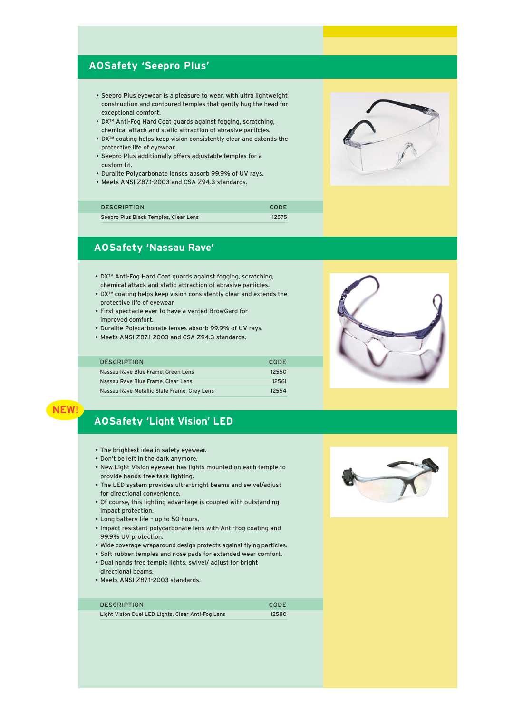### **AOSafety 'Seepro Plus'**

- Seepro Plus eyewear is a pleasure to wear, with ultra lightweight construction and contoured temples that gently hug the head for exceptional comfort.
- DX™ Anti-Fog Hard Coat guards against fogging, scratching, chemical attack and static attraction of abrasive particles.
- DX™ coating helps keep vision consistently clear and extends the protective life of eyewear.
- Seepro Plus additionally offers adjustable temples for a custom fit.
- Duralite Polycarbonate lenses absorb 99.9% of UV rays.
- Meets ANSI Z87.1-2003 and CSA Z94.3 standards.

| <b>DESCRIPTION</b>                    | <b>CODE</b> |
|---------------------------------------|-------------|
| Seepro Plus Black Temples, Clear Lens | 12575       |

### **AOSafety 'Nassau Rave'**

- DX™ Anti-Fog Hard Coat guards against fogging, scratching, chemical attack and static attraction of abrasive particles.
- DX™ coating helps keep vision consistently clear and extends the protective life of eyewear.
- First spectacle ever to have a vented BrowGard for improved comfort.
- Duralite Polycarbonate lenses absorb 99.9% of UV rays.
- Meets ANSI Z87.1-2003 and CSA Z94.3 standards.

| <b>DESCRIPTION</b>                          | CODE  |
|---------------------------------------------|-------|
| Nassau Rave Blue Frame, Green Lens          | 12550 |
| Nassau Rave Blue Frame, Clear Lens          | 12561 |
| Nassau Rave Metallic Slate Frame, Grey Lens | 12554 |





### **NEW!**

### **AOSafety 'Light Vision' LED**

- The brightest idea in safety eyewear.
- Don't be left in the dark anymore.
- New Light Vision eyewear has lights mounted on each temple to provide hands-free task lighting.
- The LED system provides ultra-bright beams and swivel/adjust for directional convenience.
- Of course, this lighting advantage is coupled with outstanding impact protection.
- Long battery life up to 50 hours.
- Impact resistant polycarbonate lens with Anti-Fog coating and 99.9% UV protection.
- Wide coverage wraparound design protects against flying particles.
- Soft rubber temples and nose pads for extended wear comfort.
- Dual hands free temple lights, swivel/ adjust for bright directional beams.
- Meets ANSI Z87.1-2003 standards.

| <b>DESCRIPTION</b>                                | <b>CODE</b> |
|---------------------------------------------------|-------------|
| Light Vision Duel LED Lights, Clear Anti-Fog Lens | 12580       |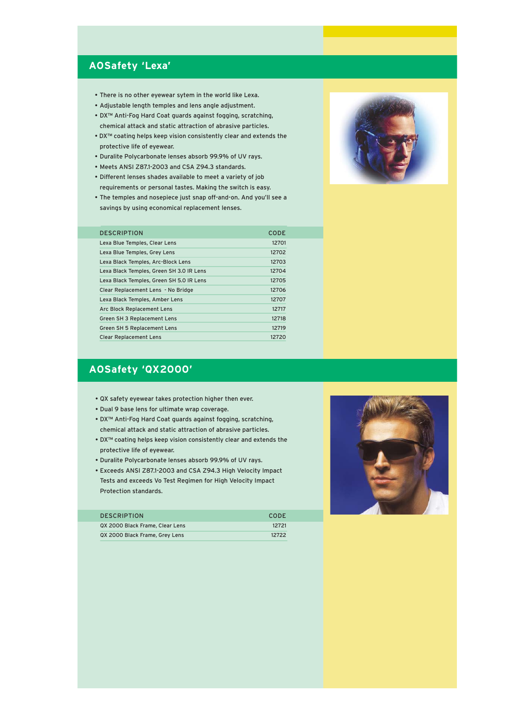### **AOSafety 'Lexa'**

- There is no other eyewear sytem in the world like Lexa.
- Adjustable length temples and lens angle adjustment.
- DX™ Anti-Fog Hard Coat guards against fogging, scratching, chemical attack and static attraction of abrasive particles.
- DX™ coating helps keep vision consistently clear and extends the protective life of eyewear.
- Duralite Polycarbonate lenses absorb 99.9% of UV rays.
- Meets ANSI Z87.1-2003 and CSA Z94.3 standards.
- Different lenses shades available to meet a variety of job requirements or personal tastes. Making the switch is easy.
- The temples and nosepiece just snap off-and-on. And you'll see a savings by using economical replacement lenses.

| <b>DESCRIPTION</b>                       | <b>CODE</b> |
|------------------------------------------|-------------|
| Lexa Blue Temples, Clear Lens            | 12701       |
| Lexa Blue Temples, Grey Lens             | 12702       |
| Lexa Black Temples, Arc-Block Lens       | 12703       |
| Lexa Black Temples, Green SH 3.0 IR Lens | 12704       |
| Lexa Black Temples, Green SH 5.0 IR Lens | 12705       |
| Clear Replacement Lens - No Bridge       | 12706       |
| Lexa Black Temples, Amber Lens           | 12707       |
| Arc Block Replacement Lens               | 12717       |
| Green SH 3 Replacement Lens              | 12718       |
| Green SH 5 Replacement Lens              | 12719       |
| <b>Clear Replacement Lens</b>            | 12720       |

### **AOSafety 'QX2000'**

- QX safety eyewear takes protection higher then ever.
- Dual 9 base lens for ultimate wrap coverage.
- DX™ Anti-Fog Hard Coat guards against fogging, scratching, chemical attack and static attraction of abrasive particles.
- DX™ coating helps keep vision consistently clear and extends the protective life of eyewear.
- Duralite Polycarbonate lenses absorb 99.9% of UV rays.
- Exceeds ANSI Z87.1-2003 and CSA Z94.3 High Velocity Impact Tests and exceeds Vo Test Regimen for High Velocity Impact Protection standards.

| <b>DESCRIPTION</b>              | CODE  |
|---------------------------------|-------|
| QX 2000 Black Frame, Clear Lens | 12721 |
| QX 2000 Black Frame, Grey Lens  | 12722 |



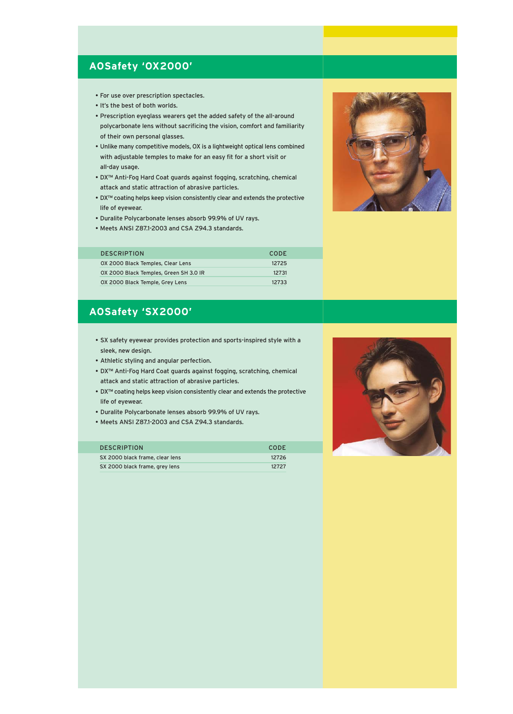### **AOSafety 'OX2000'**

- For use over prescription spectacles.
- It's the best of both worlds.
- Prescription eyeglass wearers get the added safety of the all-around polycarbonate lens without sacrificing the vision, comfort and familiarity of their own personal glasses.
- Unlike many competitive models, OX is a lightweight optical lens combined with adjustable temples to make for an easy fit for a short visit or all-day usage.
- DX™ Anti-Fog Hard Coat guards against fogging, scratching, chemical attack and static attraction of abrasive particles.
- DX™ coating helps keep vision consistently clear and extends the protective life of eyewear.
- Duralite Polycarbonate lenses absorb 99.9% of UV rays.
- Meets ANSI Z87.1-2003 and CSA Z94.3 standards.

| <b>DESCRIPTION</b>                     | CODE  |
|----------------------------------------|-------|
| OX 2000 Black Temples, Clear Lens      | 12725 |
| OX 2000 Black Temples, Green SH 3.0 IR | 12731 |
| OX 2000 Black Temple, Grey Lens        | 12733 |

### **AOSafety 'SX2000'**

- SX safety eyewear provides protection and sports-inspired style with a sleek, new design.
- Athletic styling and angular perfection.
- DX™ Anti-Fog Hard Coat guards against fogging, scratching, chemical attack and static attraction of abrasive particles.
- DX™ coating helps keep vision consistently clear and extends the protective life of eyewear.
- Duralite Polycarbonate lenses absorb 99.9% of UV rays.
- Meets ANSI Z87.1-2003 and CSA Z94.3 standards.

| <b>DESCRIPTION</b>              | CODE  |
|---------------------------------|-------|
| SX 2000 black frame, clear lens | 12726 |
| SX 2000 black frame, grey lens  | 12727 |



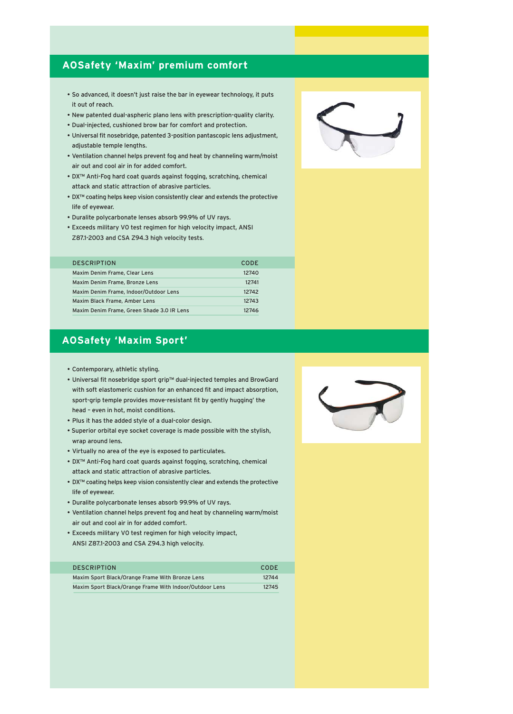### **AOSafety 'Maxim' premium comfort**

- So advanced, it doesn't just raise the bar in eyewear technology, it puts it out of reach.
- New patented dual-aspheric plano lens with prescription-quality clarity.
- Dual-injected, cushioned brow bar for comfort and protection.
- Universal fit nosebridge, patented 3-position pantascopic lens adjustment, adjustable temple lengths.
- Ventilation channel helps prevent fog and heat by channeling warm/moist air out and cool air in for added comfort.
- DX™ Anti-Fog hard coat guards against fogging, scratching, chemical attack and static attraction of abrasive particles.
- DX™ coating helps keep vision consistently clear and extends the protective life of eyewear.
- Duralite polycarbonate lenses absorb 99.9% of UV rays.
- Exceeds military V0 test regimen for high velocity impact, ANSI Z87.1-2003 and CSA Z94.3 high velocity tests.

| <b>DESCRIPTION</b>                         | <b>CODE</b> |
|--------------------------------------------|-------------|
| Maxim Denim Frame, Clear Lens              | 12740       |
| Maxim Denim Frame, Bronze Lens             | 12741       |
| Maxim Denim Frame, Indoor/Outdoor Lens     | 12742       |
| Maxim Black Frame, Amber Lens              | 12743       |
| Maxim Denim Frame, Green Shade 3.0 IR Lens | 12746       |
|                                            |             |

### **AOSafety 'Maxim Sport'**

- Contemporary, athletic styling.
- Universal fit nosebridge sport grip™ dual-injected temples and BrowGard with soft elastomeric cushion for an enhanced fit and impact absorption, sport-grip temple provides move-resistant fit by gently hugging' the head – even in hot, moist conditions.
- Plus it has the added style of a dual-color design.
- Superior orbital eye socket coverage is made possible with the stylish, wrap around lens.
- Virtually no area of the eye is exposed to particulates.
- DX™ Anti-Fog hard coat guards against fogging, scratching, chemical attack and static attraction of abrasive particles.
- DX™ coating helps keep vision consistently clear and extends the protective life of eyewear.
- Duralite polycarbonate lenses absorb 99.9% of UV rays.
- Ventilation channel helps prevent fog and heat by channeling warm/moist air out and cool air in for added comfort.
- Exceeds military V0 test regimen for high velocity impact, ANSI Z87.1-2003 and CSA Z94.3 high velocity.

| <b>DESCRIPTION</b>                                      | CODE  |
|---------------------------------------------------------|-------|
| Maxim Sport Black/Orange Frame With Bronze Lens         | 12744 |
| Maxim Sport Black/Orange Frame With Indoor/Outdoor Lens | 12745 |

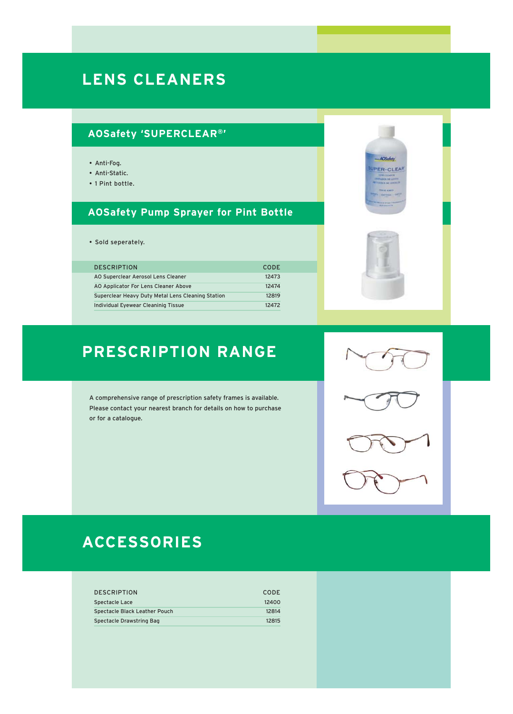# **LENS CLEANERS**

# **AOSafety 'SUPERCLEAR®'**

- Anti-Fog.
- Anti-Static.
- 1 Pint bottle.

## **AOSafety Pump Sprayer for Pint Bottle**

• Sold seperately.

| <b>DESCRIPTION</b>                                | CODE  |
|---------------------------------------------------|-------|
| AO Superclear Aerosol Lens Cleaner                | 12473 |
| AO Applicator For Lens Cleaner Above              | 12474 |
| Superclear Heavy Duty Metal Lens Cleaning Station | 12819 |
| Individual Eyewear Cleaninig Tissue               | 12472 |

# **PRESCRIPTION RANGE**

A comprehensive range of prescription safety frames is available. Please contact your nearest branch for details on how to purchase or for a catalogue.



ACKHA ER-CLEAR

# **ACCESSORIES**

| <b>DESCRIPTION</b>            | CODE  |
|-------------------------------|-------|
| Spectacle Lace                | 12400 |
| Spectacle Black Leather Pouch | 12814 |
| Spectacle Drawstring Bag      | 12815 |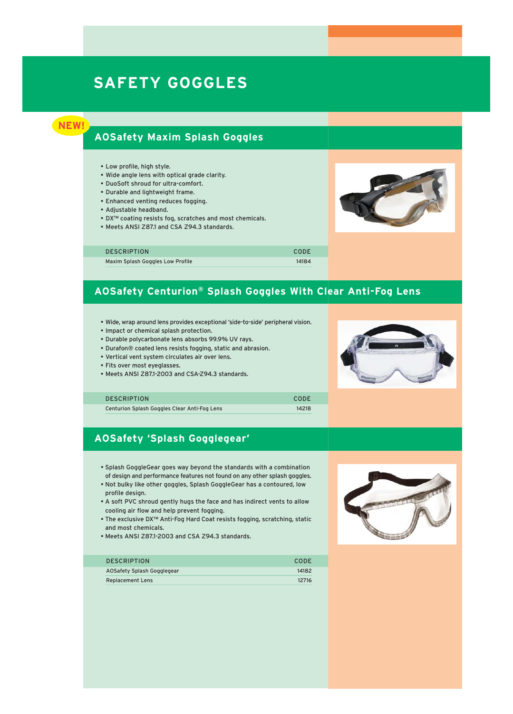# **SAFETY GOGGLES**



### **AOSafety Maxim Splash Goggles**

- Low profile, high style.
- Wide angle lens with optical grade clarity.
- DuoSoft shroud for ultra-comfort.
- Durable and lightweight frame.
- Enhanced venting reduces fogging.
- Adjustable headband.
- DX™ coating resists fog, scratches and most chemicals.
- Meets ANSI Z87.1 and CSA Z94.3 standards.

| <b>DESCRIPTION</b>               | CODE  |
|----------------------------------|-------|
| Maxim Splash Goggles Low Profile | 14184 |

### **AOSafety Centurion® Splash Goggles With Clear Anti-Fog Lens**

- Wide, wrap around lens provides exceptional 'side-to-side' peripheral vision.
- Impact or chemical splash protection.
- Durable polycarbonate lens absorbs 99.9% UV rays.
- Durafon® coated lens resists fogging, static and abrasion.
- Vertical vent system circulates air over lens.
- Fits over most eyeglasses.
- Meets ANSI Z87.1-2003 and CSA-Z94.3 standards.



#### DESCRIPTION CODE

Centurion Splash Goggles Clear Anti-Fog Lens 14218

### **AOSafety 'Splash Gogglegear'**

- Splash GoggleGear goes way beyond the standards with a combination of design and performance features not found on any other splash goggles.
- Not bulky like other goggles, Splash GoggleGear has a contoured, low profile design.
- A soft PVC shroud gently hugs the face and has indirect vents to allow cooling air flow and help prevent fogging.
- The exclusive DX™ Anti-Fog Hard Coat resists fogging, scratching, static and most chemicals.
- Meets ANSI Z87.1-2003 and CSA Z94.3 standards.

| <b>DESCRIPTION</b>         | CODE  |
|----------------------------|-------|
| AOSafety Splash Gogglegear | 14182 |
| <b>Replacement Lens</b>    | 12716 |

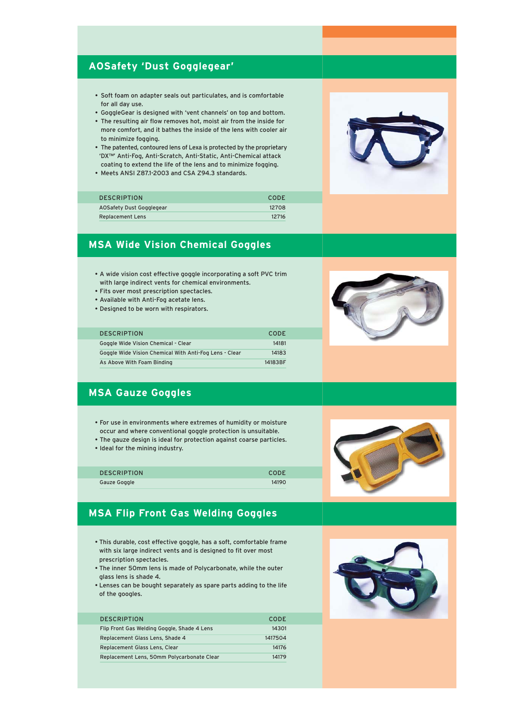### **AOSafety 'Dust Gogglegear'**

- Soft foam on adapter seals out particulates, and is comfortable for all day use.
- GoggleGear is designed with 'vent channels' on top and bottom.
- The resulting air flow removes hot, moist air from the inside for more comfort, and it bathes the inside of the lens with cooler air to minimize fogging.
- The patented, contoured lens of Lexa is protected by the proprietary 'DX™' Anti-Fog, Anti-Scratch, Anti-Static, Anti-Chemical attack coating to extend the life of the lens and to minimize fogging.
- Meets ANSI Z87.1-2003 and CSA Z94.3 standards.

| <b>DESCRIPTION</b>       | CODE  |
|--------------------------|-------|
| AOSafety Dust Gogglegear | 12708 |
| <b>Replacement Lens</b>  | 12716 |

### **MSA Wide Vision Chemical Goggles**

- A wide vision cost effective goggle incorporating a soft PVC trim with large indirect vents for chemical environments.
- Fits over most prescription spectacles.
- Available with Anti-Fog acetate lens.
- Designed to be worn with respirators.

| <b>DESCRIPTION</b>                                     | CODE    |
|--------------------------------------------------------|---------|
| Goggle Wide Vision Chemical - Clear                    | 14181   |
| Goggle Wide Vision Chemical With Anti-Fog Lens - Clear | 14183   |
| As Above With Foam Binding                             | 14183BF |

### **MSA Gauze Goggles**

- For use in environments where extremes of humidity or moisture occur and where conventional goggle protection is unsuitable.
- The gauze design is ideal for protection against coarse particles.
- Ideal for the mining industry.

| <b>DESCRIPTION</b> | CODE  |
|--------------------|-------|
| Gauze Goggle       | 14190 |

### **MSA Flip Front Gas Welding Goggles**

- This durable, cost effective goggle, has a soft, comfortable frame with six large indirect vents and is designed to fit over most prescription spectacles.
- The inner 50mm lens is made of Polycarbonate, while the outer glass lens is shade 4.
- Lenses can be bought separately as spare parts adding to the life of the googles.

| <b>DESCRIPTION</b>                          | <b>CODE</b> |
|---------------------------------------------|-------------|
| Flip Front Gas Welding Goggle, Shade 4 Lens | 14301       |
| Replacement Glass Lens, Shade 4             | 1417504     |
| Replacement Glass Lens, Clear               | 14176       |
| Replacement Lens, 50mm Polycarbonate Clear  | 14179       |